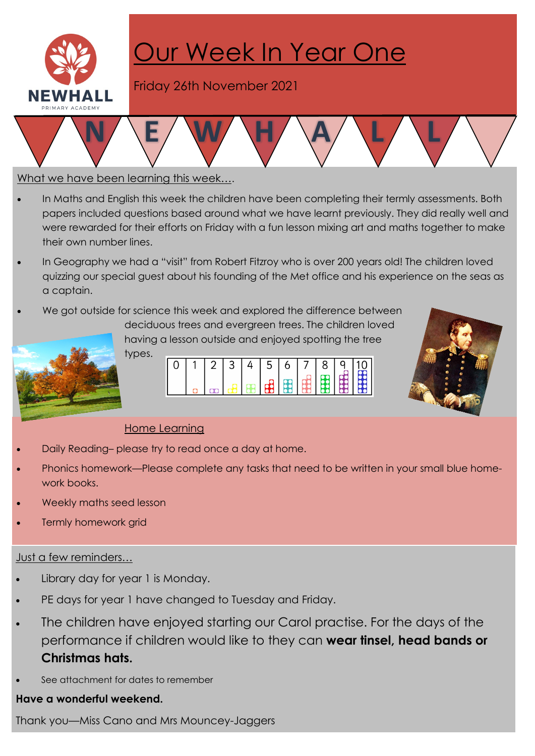

# Our Week In Year One

Friday 26th November 2021

### What we have been learning this week….

- In Maths and English this week the children have been completing their termly assessments. Both papers included questions based around what we have learnt previously. They did really well and were rewarded for their efforts on Friday with a fun lesson mixing art and maths together to make their own number lines.
- In Geography we had a "visit" from Robert Fitzroy who is over 200 years old! The children loved quizzing our special guest about his founding of the Met office and his experience on the seas as a captain.
- We got outside for science this week and explored the difference between deciduous trees and evergreen trees. The children loved having a lesson outside and enjoyed spotting the tree



types.  $\overline{2}$ 3 0 4 5  $\frac{1}{2}$ 88



# Home Learning

- Daily Reading– please try to read once a day at home.
- · Phonics homework—Please complete any tasks that need to be written in your small blue homework books.
- Weekly maths seed lesson
- Termly homework grid

#### Just a few reminders…

- Library day for year 1 is Monday.
- PE days for year 1 have changed to Tuesday and Friday.
- The children have enjoyed starting our Carol practise. For the days of the performance if children would like to they can wear tinsel, head bands or Christmas hats.
- See attachment for dates to remember

## Have a wonderful weekend.

Thank you—Miss Cano and Mrs Mouncey-Jaggers